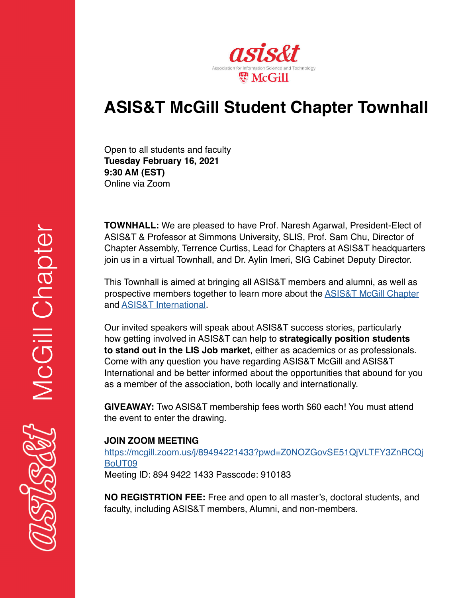

# **ASIS&T McGill Student Chapter Townhall**

Open to all students and faculty **Tuesday February 16, 2021 9:30 AM (EST)** Online via Zoom

**TOWNHALL:** We are pleased to have Prof. Naresh Agarwal, President-Elect of ASIS&T & Professor at Simmons University, SLIS, Prof. Sam Chu, Director of Chapter Assembly, Terrence Curtiss, Lead for Chapters at ASIS&T headquarters join us in a virtual Townhall, and Dr. Aylin Imeri, SIG Cabinet Deputy Director.

This Townhall is aimed at bringing all ASIS&T members and alumni, as well as prospective members together to learn more about the **ASIS&T McGill Chapter** and [ASIS&T International.](https://www.asist.org/)

Our invited speakers will speak about ASIS&T success stories, particularly how getting involved in ASIS&T can help to **strategically position students to stand out in the LIS Job market**, either as academics or as professionals. Come with any question you have regarding ASIS&T McGill and ASIS&T International and be better informed about the opportunities that abound for you as a member of the association, both locally and internationally.

**GIVEAWAY:** Two ASIS&T membership fees worth \$60 each! You must attend the event to enter the drawing.

# **JOIN ZOOM MEETING**

[https://mcgill.zoom.us/j/89494221433?pwd=Z0NOZGovSE51QjVLTFY3ZnRCQj](https://mcgill.zoom.us/j/89494221433?pwd=Z0NOZGovSE51QjVLTFY3ZnRCQjBoUT09) [BoUT09](https://mcgill.zoom.us/j/89494221433?pwd=Z0NOZGovSE51QjVLTFY3ZnRCQjBoUT09)

Meeting ID: 894 9422 1433 Passcode: 910183

**NO REGISTRTION FEE:** Free and open to all master's, doctoral students, and faculty, including ASIS&T members, Alumni, and non-members.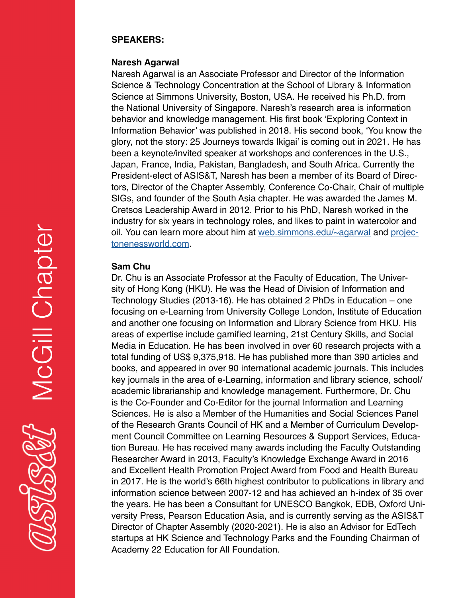### **SPEAKERS:**

## **Naresh Agarwal**

Naresh Agarwal is an Associate Professor and Director of the Information Science & Technology Concentration at the School of Library & Information Science at Simmons University, Boston, USA. He received his Ph.D. from the National University of Singapore. Naresh's research area is information behavior and knowledge management. His first book 'Exploring Context in Information Behavior' was published in 2018. His second book, 'You know the glory, not the story: 25 Journeys towards Ikigai' is coming out in 2021. He has been a keynote/invited speaker at workshops and conferences in the U.S., Japan, France, India, Pakistan, Bangladesh, and South Africa. Currently the President-elect of ASIS&T, Naresh has been a member of its Board of Directors, Director of the Chapter Assembly, Conference Co-Chair, Chair of multiple SIGs, and founder of the South Asia chapter. He was awarded the James M. Cretsos Leadership Award in 2012. Prior to his PhD, Naresh worked in the industry for six years in technology roles, and likes to paint in watercolor and oil. You can learn more about him at [web.simmons.edu/~agarwal](http://web.simmons.edu/~agarwal) and [projec](http://projectonenessworld.com)[tonenessworld.com.](http://projectonenessworld.com)

# **Sam Chu**

Dr. Chu is an Associate Professor at the Faculty of Education, The University of Hong Kong (HKU). He was the Head of Division of Information and Technology Studies (2013-16). He has obtained 2 PhDs in Education – one focusing on e-Learning from University College London, Institute of Education and another one focusing on Information and Library Science from HKU. His areas of expertise include gamified learning, 21st Century Skills, and Social Media in Education. He has been involved in over 60 research projects with a total funding of US\$ 9,375,918. He has published more than 390 articles and books, and appeared in over 90 international academic journals. This includes key journals in the area of e-Learning, information and library science, school/ academic librarianship and knowledge management. Furthermore, Dr. Chu is the Co-Founder and Co-Editor for the journal Information and Learning Sciences. He is also a Member of the Humanities and Social Sciences Panel of the Research Grants Council of HK and a Member of Curriculum Development Council Committee on Learning Resources & Support Services, Education Bureau. He has received many awards including the Faculty Outstanding Researcher Award in 2013, Faculty's Knowledge Exchange Award in 2016 and Excellent Health Promotion Project Award from Food and Health Bureau in 2017. He is the world's 66th highest contributor to publications in library and information science between 2007-12 and has achieved an h-index of 35 over the years. He has been a Consultant for UNESCO Bangkok, EDB, Oxford University Press, Pearson Education Asia, and is currently serving as the ASIS&T Director of Chapter Assembly (2020-2021). He is also an Advisor for EdTech startups at HK Science and Technology Parks and the Founding Chairman of Academy 22 Education for All Foundation.